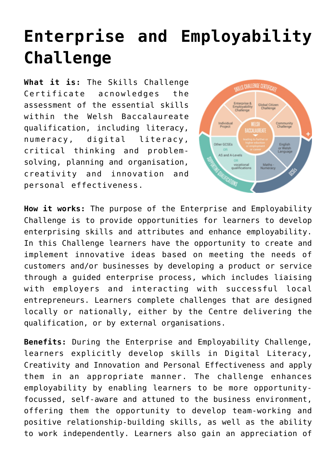## **[Enterprise and Employability](http://entreassess.com/2018/05/29/enterprise-and-employability-challenge/) [Challenge](http://entreassess.com/2018/05/29/enterprise-and-employability-challenge/)**

**What it is:** The Skills Challenge Certificate acnowledges the assessment of the essential skills within the [Welsh Baccalaureate](http://qualificationswales.org/qualifications/welsh-baccalaureate/welsh-bacc-animation/?lang=en) qualification, including literacy, numeracy, digital literacy, critical thinking and problemsolving, planning and organisation, creativity and innovation and personal effectiveness.



**How it works:** The purpose of the Enterprise and Employability Challenge is to provide opportunities for learners to develop enterprising skills and attributes and enhance employability. In this Challenge learners have the opportunity to create and implement innovative ideas based on meeting the needs of customers and/or businesses by developing a product or service through a guided enterprise process, which includes liaising with employers and interacting with successful local entrepreneurs. Learners complete challenges that are designed locally or nationally, either by the Centre delivering the qualification, or by external organisations.

**Benefits:** During the Enterprise and Employability Challenge, learners explicitly develop skills in Digital Literacy, Creativity and Innovation and Personal Effectiveness and apply them in an appropriate manner. The challenge enhances employability by enabling learners to be more opportunityfocussed, self-aware and attuned to the business environment, offering them the opportunity to develop team-working and positive relationship-building skills, as well as the ability to work independently. Learners also gain an appreciation of